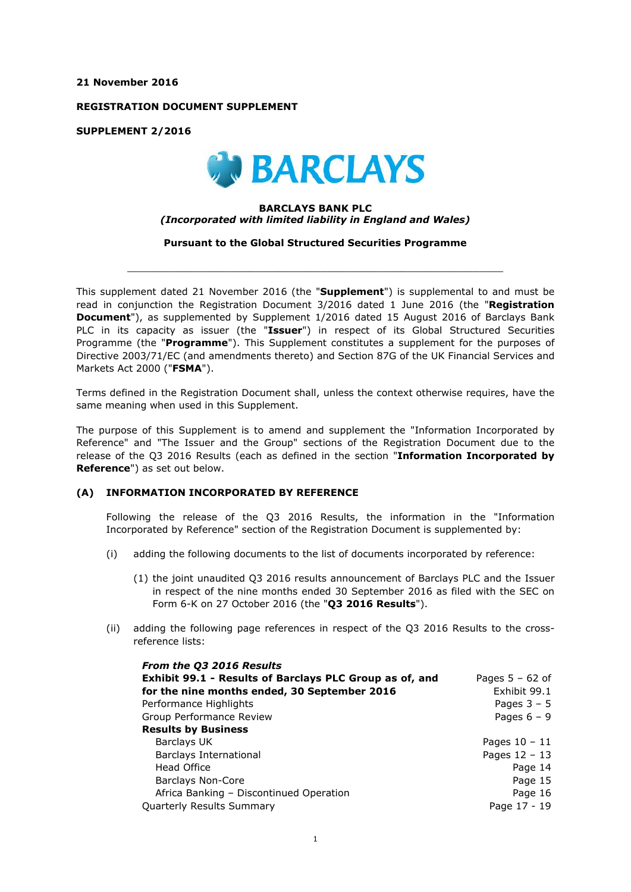**21 November 2016**

**REGISTRATION DOCUMENT SUPPLEMENT**

**SUPPLEMENT 2/2016**



## **BARCLAYS BANK PLC** *(Incorporated with limited liability in England and Wales)*

**Pursuant to the Global Structured Securities Programme**

 $\_$  ,  $\_$  ,  $\_$  ,  $\_$  ,  $\_$  ,  $\_$  ,  $\_$  ,  $\_$  ,  $\_$  ,  $\_$  ,  $\_$  ,  $\_$  ,  $\_$  ,  $\_$  ,  $\_$  ,  $\_$  ,  $\_$  ,  $\_$  ,  $\_$  ,  $\_$  ,  $\_$  ,  $\_$  ,  $\_$  ,  $\_$  ,  $\_$  ,  $\_$  ,  $\_$  ,  $\_$  ,  $\_$  ,  $\_$  ,  $\_$  ,  $\_$  ,  $\_$  ,  $\_$  ,  $\_$  ,  $\_$  ,  $\_$  ,

This supplement dated 21 November 2016 (the "**Supplement**") is supplemental to and must be read in conjunction the Registration Document 3/2016 dated 1 June 2016 (the "**Registration Document**"), as supplemented by Supplement 1/2016 dated 15 August 2016 of Barclays Bank PLC in its capacity as issuer (the "**Issuer**") in respect of its Global Structured Securities Programme (the "**Programme**"). This Supplement constitutes a supplement for the purposes of Directive 2003/71/EC (and amendments thereto) and Section 87G of the UK Financial Services and Markets Act 2000 ("**FSMA**").

Terms defined in the Registration Document shall, unless the context otherwise requires, have the same meaning when used in this Supplement.

The purpose of this Supplement is to amend and supplement the "Information Incorporated by Reference" and "The Issuer and the Group" sections of the Registration Document due to the release of the Q3 2016 Results (each as defined in the section "**Information Incorporated by Reference**") as set out below.

## **(A) INFORMATION INCORPORATED BY REFERENCE**

Following the release of the Q3 2016 Results, the information in the "Information Incorporated by Reference" section of the Registration Document is supplemented by:

- (i) adding the following documents to the list of documents incorporated by reference:
	- (1) the joint unaudited Q3 2016 results announcement of Barclays PLC and the Issuer in respect of the nine months ended 30 September 2016 as filed with the SEC on Form 6-K on 27 October 2016 (the "**Q3 2016 Results**").
- (ii) adding the following page references in respect of the Q3 2016 Results to the crossreference lists:

| From the Q3 2016 Results                                |                   |
|---------------------------------------------------------|-------------------|
| Exhibit 99.1 - Results of Barclays PLC Group as of, and | Pages $5 - 62$ of |
| for the nine months ended, 30 September 2016            | Exhibit 99.1      |
| Performance Highlights                                  | Pages $3 - 5$     |
| Group Performance Review                                | Pages $6 - 9$     |
| <b>Results by Business</b>                              |                   |
| Barclays UK                                             | Pages $10 - 11$   |
| <b>Barclays International</b>                           | Pages $12 - 13$   |
| Head Office                                             | Page 14           |
| <b>Barclays Non-Core</b>                                | Page 15           |
| Africa Banking - Discontinued Operation                 | Page 16           |
| <b>Quarterly Results Summary</b>                        | Page 17 - 19      |
|                                                         |                   |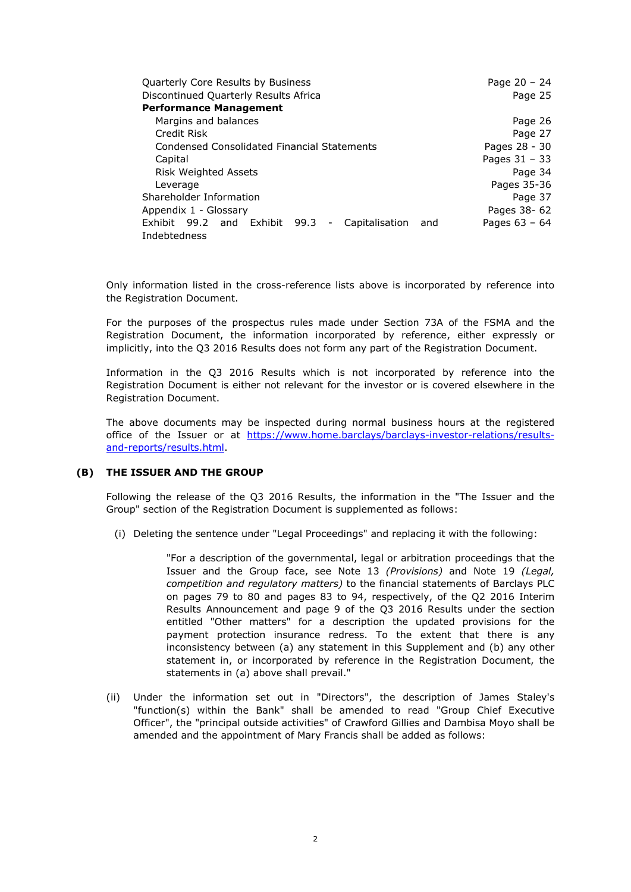| Quarterly Core Results by Business                                                       | Page $20 - 24$  |
|------------------------------------------------------------------------------------------|-----------------|
| Discontinued Quarterly Results Africa                                                    | Page 25         |
| <b>Performance Management</b>                                                            |                 |
| Margins and balances                                                                     | Page 26         |
| Credit Risk                                                                              | Page 27         |
| Condensed Consolidated Financial Statements                                              | Pages 28 - 30   |
| Capital                                                                                  | Pages $31 - 33$ |
| <b>Risk Weighted Assets</b>                                                              | Page 34         |
| Leverage                                                                                 | Pages 35-36     |
| Shareholder Information                                                                  | Page 37         |
| Appendix 1 - Glossary                                                                    | Pages 38- 62    |
| 99.2 and<br>Exhibit 99.3<br>Exhibit<br>Capitalisation<br>and<br>$\overline{\phantom{a}}$ | Pages $63 - 64$ |
| Indebtedness                                                                             |                 |

Only information listed in the cross-reference lists above is incorporated by reference into the Registration Document.

For the purposes of the prospectus rules made under Section 73A of the FSMA and the Registration Document, the information incorporated by reference, either expressly or implicitly, into the Q3 2016 Results does not form any part of the Registration Document.

Information in the Q3 2016 Results which is not incorporated by reference into the Registration Document is either not relevant for the investor or is covered elsewhere in the Registration Document.

The above documents may be inspected during normal business hours at the registered [office of the Issuer or at https://www.home.barclays/barclays-investor-relations/results](https://www.home.barclays/barclays-investor-relations/results-and-reports/results.html)and-reports/results.html.

## **(B) THE ISSUER AND THE GROUP**

Following the release of the Q3 2016 Results, the information in the "The Issuer and the Group" section of the Registration Document is supplemented as follows:

(i) Deleting the sentence under "Legal Proceedings" and replacing it with the following:

"For a description of the governmental, legal or arbitration proceedings that the Issuer and the Group face, see Note 13 *(Provisions)* and Note 19 *(Legal, competition and regulatory matters)* to the financial statements of Barclays PLC on pages 79 to 80 and pages 83 to 94, respectively, of the Q2 2016 Interim Results Announcement and page 9 of the Q3 2016 Results under the section entitled "Other matters" for a description the updated provisions for the payment protection insurance redress. To the extent that there is any inconsistency between (a) any statement in this Supplement and (b) any other statement in, or incorporated by reference in the Registration Document, the statements in (a) above shall prevail."

(ii) Under the information set out in "Directors", the description of James Staley's "function(s) within the Bank" shall be amended to read "Group Chief Executive Officer", the "principal outside activities" of Crawford Gillies and Dambisa Moyo shall be amended and the appointment of Mary Francis shall be added as follows: